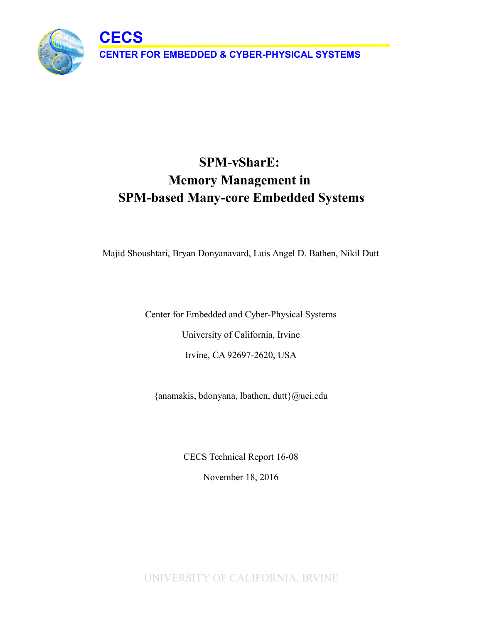**CECS**



Majid Shoushtari, Bryan Donyanavard, Luis Angel D. Bathen, Nikil Dutt

Center for Embedded and Cyber-Physical Systems University of California, Irvine Irvine, CA 92697-2620, USA

{anamakis, bdonyana, lbathen, dutt}@uci.edu

CECS Technical Report 16-08 November 18, 2016

UNIVERSITY OF CALIFORNIA, IRVINE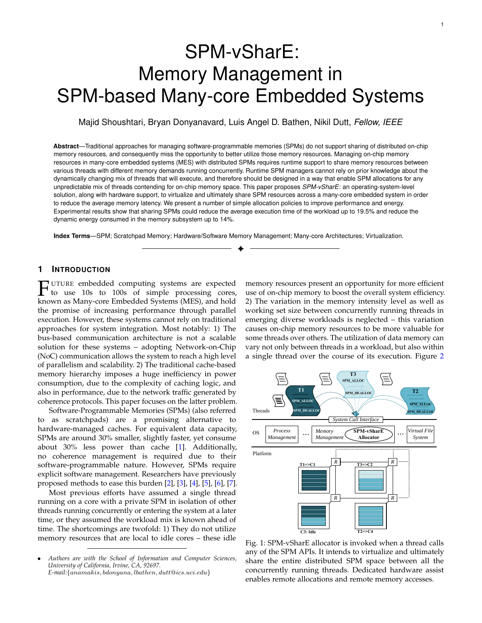# SPM-vSharE: Memory Management in SPM-based Many-core Embedded Systems

Majid Shoushtari, Bryan Donyanavard, Luis Angel D. Bathen, Nikil Dutt, *Fellow, IEEE*

**Abstract**—Traditional approaches for managing software-programmable memories (SPMs) do not support sharing of distributed on-chip memory resources, and consequently miss the opportunity to better utilize those memory resources. Managing on-chip memory resources in many-core embedded systems (MES) with distributed SPMs requires runtime support to share memory resources between various threads with different memory demands running concurrently. Runtime SPM managers cannot rely on prior knowledge about the dynamically changing mix of threads that will execute, and therefore should be designed in a way that enable SPM allocations for any unpredictable mix of threads contending for on-chip memory space. This paper proposes *SPM-vSharE*: an operating-system-level solution, along with hardware support, to virtualize and ultimately share SPM resources across a many-core embedded system in order to reduce the average memory latency. We present a number of simple allocation policies to improve performance and energy. Experimental results show that sharing SPMs could reduce the average execution time of the workload up to 19.5% and reduce the dynamic energy consumed in the memory subsystem up to 14%.

✦

**Index Terms**—SPM; Scratchpad Memory; Hardware/Software Memory Management; Many-core Architectures; Virtualization.

# **1 INTRODUCTION**

**FUTURE** embedded computing systems are expected to use 10s to 100s of simple processing cores known as Many-core Embedded Systems (MES), and hold UTURE embedded computing systems are expected to use 10s to 100s of simple processing cores, the promise of increasing performance through parallel execution. However, these systems cannot rely on traditional approaches for system integration. Most notably: 1) The bus-based communication architecture is not a scalable solution for these systems – adopting Network-on-Chip (NoC) communication allows the system to reach a high level of parallelism and scalability. 2) The traditional cache-based memory hierarchy imposes a huge inefficiency in power consumption, due to the complexity of caching logic, and also in performance, due to the network traffic generated by coherence protocols. This paper focuses on the latter problem.

Software-Programmable Memories (SPMs) (also referred to as scratchpads) are a promising alternative to hardware-managed caches. For equivalent data capacity, SPMs are around 30% smaller, slightly faster, yet consume about 30% less power than cache [1]. Additionally, no coherence management is required due to their software-programmable nature. However, SPMs require explicit software management. Researchers have previously proposed methods to ease this burden [2], [3], [4], [5], [6], [7].

Most previous efforts have assumed a single thread running on a core with a private SPM in isolation of other threads running concurrently or entering the system at a later time, or they assumed the workload mix is known ahead of time. The shortcomings are twofold: 1) They do not utilize memory resources that are local to idle cores – these idle

memory resources present an opportunity for more efficient use of on-chip memory to boost the overall system efficiency. 2) The variation in the memory intensity level as well as working set size between concurrently running threads in emerging diverse workloads is neglected – this variation causes on-chip memory resources to be more valuable for some threads over others. The utilization of data memory can vary not only between threads in a workload, but also within a single thread over the course of its execution. Figure 2



Fig. 1: SPM-vSharE allocator is invoked when a thread calls any of the SPM APIs. It intends to virtualize and ultimately share the entire distributed SPM space between all the concurrently running threads. Dedicated hardware assist enables remote allocations and remote memory accesses.

<sup>•</sup> *Authors are with the School of Information and Computer Sciences, University of California, Irvine, CA, 92697. E-mail:*{anamakis, bdonyana, lbathen, dutt@ics.uci.edu}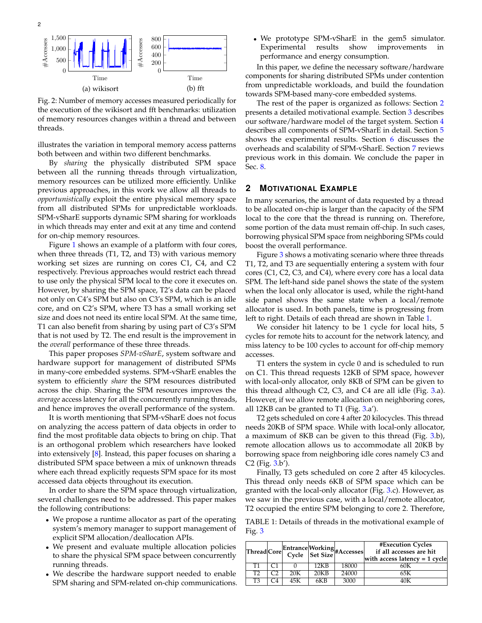

0 0 of memory resources changes within a thread and between the execution of the wikisort and fft benchmarks: utilization  $\frac{1}{2}$ ig. 2: Nu<br>ne execu  $\frac{25}{10}$ :ss<br>nc Fig. 2: Number of memory accesses measured periodically for threads.

n bety illustrates the variation in temporal memory access pooth between and within two different benchmarks.<br>By *sharing* the physically distributed SPM illustrates the variation in temporal memory access patterns

 $\overline{a}$ rur! SPM-vSharE supports dynamic SPM sharing for workloads from all distributed SPMs for unpredictable workloads.  $\frac{10}{1}$ memory resources can be utilized more efficiently. Unlike in which threads may enter and exit at any time and contend previous approaches, in this work we allow all threads to *opportunistically* exploit the entire physical memory space from all distributed SPMs for unpredictable workloads  $\frac{1}{11}$ between all the running threads through virtualization, By *sharing* the physically distributed SPM space *opportunistically* exploit the entire physical memory space for on-chip memory resources.

Figure 1 shows an example of a platform with four cores, when three threads (T1, T2, and T3) with various memory working set sizes are running on cores C1, C4, and C2 respectively. Previous approaches would restrict each thread to use only the physical SPM local to the core it executes on. However, by sharing the SPM space, T2's data can be placed not only on C4's SPM but also on C3's SPM, which is an idle core, and on C2's SPM, where T3 has a small working set size and does not need its entire local SPM. At the same time, T1 can also benefit from sharing by using part of C3's SPM that is not used by T2. The end result is the improvement in the *overall* performance of these three threads.

and hence improves the overall performance of the system. This paper proposes *SPM-vSharE*, system software and hardware support for management of distributed SPMs in many-core embedded systems. SPM-vSharE enables the system to efficiently *share* the SPM resources distributed across the chip. Sharing the SPM resources improves the *average* access latency for all the concurrently running threads,

It is worth mentioning that SPM-vSharE does not focus on analyzing the access pattern of data objects in order to find the most profitable data objects to bring on chip. That is an orthogonal problem which researchers have looked into extensively [8]. Instead, this paper focuses on sharing a distributed SPM space between a mix of unknown threads where each thread explicitly requests SPM space for its most accessed data objects throughout its execution.

In order to share the SPM space through virtualization, several challenges need to be addressed. This paper makes the following contributions:

- We propose a runtime allocator as part of the operating system's memory manager to support management of explicit SPM allocation/deallocation APIs.
- We present and evaluate multiple allocation policies to share the physical SPM space between concurrently running threads.
- We describe the hardware support needed to enable SPM sharing and SPM-related on-chip communications.

• We prototype SPM-vSharE in the gem5 simulator. Experimental results show improvements in performance and energy consumption.

In this paper, we define the necessary software/hardware components for sharing distributed SPMs under contention from unpredictable workloads, and build the foundation towards SPM-based many-core embedded systems.

The rest of the paper is organized as follows: Section 2 presents a detailed motivational example. Section 3 describes our software/hardware model of the target system. Section 4 describes all components of SPM-vSharE in detail. Section 5 shows the experimental results. Section 6 discusses the overheads and scalability of SPM-vSharE. Section 7 reviews previous work in this domain. We conclude the paper in Sec. 8.

#### **2 MOTIVATIONAL EXAMPLE**

In many scenarios, the amount of data requested by a thread to be allocated on-chip is larger than the capacity of the SPM local to the core that the thread is running on. Therefore, some portion of the data must remain off-chip. In such cases, borrowing physical SPM space from neighboring SPMs could boost the overall performance.

Figure 3 shows a motivating scenario where three threads T1, T2, and T3 are sequentially entering a system with four cores (C1, C2, C3, and C4), where every core has a local data SPM. The left-hand side panel shows the state of the system when the local only allocator is used, while the right-hand side panel shows the same state when a local/remote allocator is used. In both panels, time is progressing from left to right. Details of each thread are shown in Table 1.

We consider hit latency to be 1 cycle for local hits, 5 cycles for remote hits to account for the network latency, and miss latency to be 100 cycles to account for off-chip memory accesses.

T1 enters the system in cycle 0 and is scheduled to run on C1. This thread requests 12KB of SPM space, however with local-only allocator, only 8KB of SPM can be given to this thread although C2, C3, and C4 are all idle (Fig. 3.a). However, if we allow remote allocation on neighboring cores, all 12KB can be granted to T1 (Fig.  $3.a$ ).

T2 gets scheduled on core 4 after 20 kilocycles. This thread needs 20KB of SPM space. While with local-only allocator, a maximum of 8KB can be given to this thread (Fig. 3.b), remote allocation allows us to accommodate all 20KB by borrowing space from neighboring idle cores namely C3 and C2 (Fig. 3.b').

Finally, T3 gets scheduled on core 2 after 45 kilocycles. This thread only needs 6KB of SPM space which can be granted with the local-only allocator (Fig. 3.c). However, as we saw in the previous case, with a local/remote allocator, T2 occupied the entire SPM belonging to core 2. Therefore,

TABLE 1: Details of threads in the motivational example of Fig. 3

|                |     |      | Thread Core Entrance Working<br>Cycle Set Size #Accesses | #Execution Cycles<br>if all accesses are hit<br>with access latency $= 1$ cycle |
|----------------|-----|------|----------------------------------------------------------|---------------------------------------------------------------------------------|
| Т1             |     | 12KB | 18000                                                    | 60K                                                                             |
| T <sub>2</sub> | 20K | 20KB | 24000                                                    | 65K                                                                             |
| T3             | 45K | 6KB  | 3000                                                     | 10K                                                                             |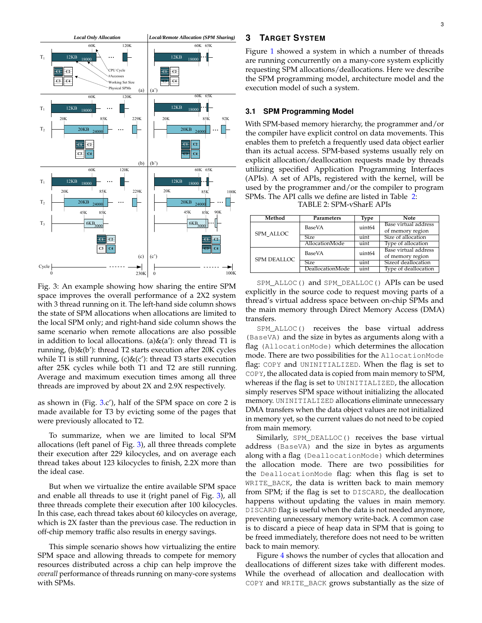

Fig. 3: An example showing how sharing the entire SPM space improves the overall performance of a 2X2 system with 3 thread running on it. The left-hand side column shows the state of SPM allocations when allocations are limited to the local SPM only; and right-hand side column shows the same scenario when remote allocations are also possible in addition to local allocations. (a)&(a'): only thread T1 is running, (b)&(b'): thread T2 starts execution after 20K cycles while T1 is still running,  $(c)$ & $(c')$ : thread T3 starts execution after 25K cycles while both T1 and T2 are still running. Average and maximum execution times among all three threads are improved by about 2X and 2.9X respectively.

as shown in (Fig. 3.c'), half of the SPM space on core 2 is made available for T3 by evicting some of the pages that were previously allocated to T2.

To summarize, when we are limited to local SPM allocations (left panel of Fig. 3), all three threads complete their execution after 229 kilocycles, and on average each thread takes about 123 kilocycles to finish, 2.2X more than the ideal case.

But when we virtualize the entire available SPM space and enable all threads to use it (right panel of Fig. 3), all three threads complete their execution after 100 kilocycles. In this case, each thread takes about 60 kilocycles on average, which is 2X faster than the previous case. The reduction in off-chip memory traffic also results in energy savings.

This simple scenario shows how virtualizing the entire SPM space and allowing threads to compete for memory resources distributed across a chip can help improve the *overall* performance of threads running on many-core systems with SPMs.

# **3 TARGET SYSTEM**

Figure 1 showed a system in which a number of threads are running concurrently on a many-core system explicitly requesting SPM allocations/deallocations. Here we describe the SPM programming model, architecture model and the execution model of such a system.

#### **3.1 SPM Programming Model**

With SPM-based memory hierarchy, the programmer and/or the compiler have explicit control on data movements. This enables them to prefetch a frequently used data object earlier than its actual access. SPM-based systems usually rely on explicit allocation/deallocation requests made by threads utilizing specified Application Programming Interfaces (APIs). A set of APIs, registered with the kernel, will be used by the programmer and/or the compiler to program SPMs. The API calls we define are listed in Table 2:

TABLE 2: SPM-vSharE APIs

| Method             | Parameters       | <b>Type</b>       | <b>Note</b>          |  |
|--------------------|------------------|-------------------|----------------------|--|
|                    | BaseVA           | uint64            | Base virtual address |  |
| SPM ALLOC          |                  |                   | of memory region     |  |
|                    | <b>Size</b>      | uint              | Size of allocation   |  |
|                    | AllocationMode   | uint              | Type of allocation   |  |
|                    | BaseVA           | uint64            | Base virtual address |  |
| <b>SPM DEALLOC</b> |                  |                   | of memory region     |  |
|                    | <b>Size</b>      | $\overline{uint}$ | Sizeof deallocation  |  |
|                    | DeallocationMode | uint              | Type of deallocation |  |

SPM\_ALLOC() and SPM\_DEALLOC() APIs can be used explicitly in the source code to request moving parts of a thread's virtual address space between on-chip SPMs and the main memory through Direct Memory Access (DMA) transfers.

SPM\_ALLOC() receives the base virtual address (BaseVA) and the size in bytes as arguments along with a flag (AllocationMode) which determines the allocation mode. There are two possibilities for the AllocationMode flag: COPY and UNINITIALIZED. When the flag is set to COPY, the allocated data is copied from main memory to SPM, whereas if the flag is set to UNINITIALIZED, the allocation simply reserves SPM space without initializing the allocated memory. UNINITIALIZED allocations eliminate unnecessary DMA transfers when the data object values are not initialized in memory yet, so the current values do not need to be copied from main memory.

Similarly, SPM\_DEALLOC() receives the base virtual address (BaseVA) and the size in bytes as arguments along with a flag (DeallocationMode) which determines the allocation mode. There are two possibilities for the DeallocationMode flag: when this flag is set to WRITE\_BACK, the data is written back to main memory from SPM; if the flag is set to DISCARD, the deallocation happens without updating the values in main memory. DISCARD flag is useful when the data is not needed anymore, preventing unnecessary memory write-back. A common case is to discard a piece of heap data in SPM that is going to be freed immediately, therefore does not need to be written back to main memory.

Figure 4 shows the number of cycles that allocation and deallocations of different sizes take with different modes. While the overhead of allocation and deallocation with COPY and WRITE\_BACK grows substantially as the size of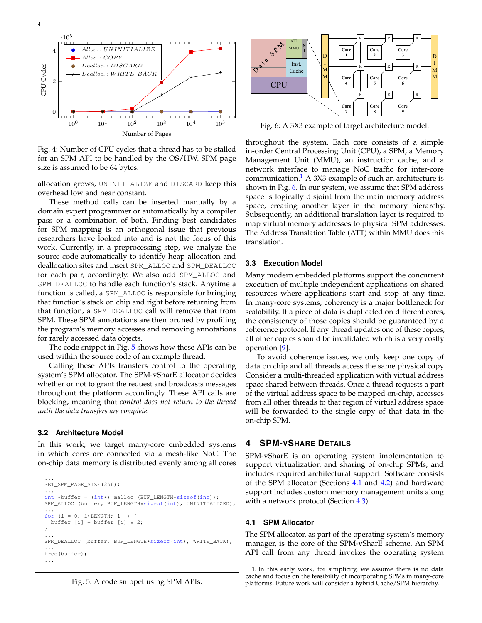

Fig. 4: Number of CPU cycles that a thread has to be stalled for an SPM API to be handled by the OS/HW. SPM page size is assumed to be 64 bytes.

allocation grows, UNINITIALIZE and DISCARD keep this overhead low and near constant.

These method calls can be inserted manually by a domain expert programmer or automatically by a compiler pass or a combination of both. Finding best candidates for SPM mapping is an orthogonal issue that previous researchers have looked into and is not the focus of this work. Currently, in a preprocessing step, we analyze the source code automatically to identify heap allocation and deallocation sites and insert SPM\_ALLOC and SPM\_DEALLOC for each pair, accordingly. We also add SPM\_ALLOC and SPM\_DEALLOC to handle each function's stack. Anytime a function is called, a SPM\_ALLOC is responsible for bringing that function's stack on chip and right before returning from that function, a SPM\_DEALLOC call will remove that from SPM. These SPM annotations are then pruned by profiling the program's memory accesses and removing annotations for rarely accessed data objects.

The code snippet in Fig. 5 shows how these APIs can be used within the source code of an example thread.

Calling these APIs transfers control to the operating system's SPM allocator. The SPM-vSharE allocator decides whether or not to grant the request and broadcasts messages throughout the platform accordingly. These API calls are blocking, meaning that *control does not return to the thread until the data transfers are complete.*

#### **3.2 Architecture Model**

In this work, we target many-core embedded systems in which cores are connected via a mesh-like NoC. The on-chip data memory is distributed evenly among all cores

```
...
SET_SPM_PAGE_SIZE(256);
...
int *buffer = (int*) malloc (BUF_LENGTH*sizeof(int));
SPM_ALLOC (buffer, BUF_LENGTH*sizeof(int), UNINITIALIZED);
...
for (i = 0; i<LENGTH; i++) {
 buffer [i] = buffer [i] * 2;}
...
SPM_DEALLOC (buffer, BUF_LENGTH*sizeof(int), WRITE_BACK);
...
free(buffer);
...
```




Fig. 6: A 3X3 example of target architecture model.

throughout the system. Each core consists of a simple in-order Central Processing Unit (CPU), a SPM, a Memory Management Unit (MMU), an instruction cache, and a network interface to manage NoC traffic for inter-core communication.<sup>1</sup> A 3X3 example of such an architecture is shown in Fig. 6. In our system, we assume that SPM address space is logically disjoint from the main memory address space, creating another layer in the memory hierarchy. Subsequently, an additional translation layer is required to map virtual memory addresses to physical SPM addresses. The Address Translation Table (ATT) within MMU does this translation.

#### **3.3 Execution Model**

Many modern embedded platforms support the concurrent execution of multiple independent applications on shared resources where applications start and stop at any time. In many-core systems, coherency is a major bottleneck for scalability. If a piece of data is duplicated on different cores, the consistency of those copies should be guaranteed by a coherence protocol. If any thread updates one of these copies, all other copies should be invalidated which is a very costly operation [9].

To avoid coherence issues, we only keep one copy of data on chip and all threads access the same physical copy. Consider a multi-threaded application with virtual address space shared between threads. Once a thread requests a part of the virtual address space to be mapped on-chip, accesses from all other threads to that region of virtual address space will be forwarded to the single copy of that data in the on-chip SPM.

# **4 SPM-VSHARE DETAILS**

SPM-vSharE is an operating system implementation to support virtualization and sharing of on-chip SPMs, and includes required architectural support. Software consists of the SPM allocator (Sections 4.1 and 4.2) and hardware support includes custom memory management units along with a network protocol (Section 4.3).

#### **4.1 SPM Allocator**

The SPM allocator, as part of the operating system's memory manager, is the core of the SPM-vSharE scheme. An SPM API call from any thread invokes the operating system

1. In this early work, for simplicity, we assume there is no data cache and focus on the feasibility of incorporating SPMs in many-core platforms. Future work will consider a hybrid Cache/SPM hierarchy.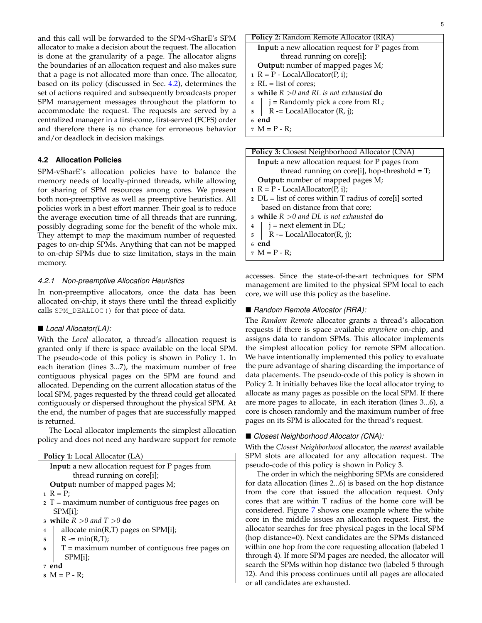and this call will be forwarded to the SPM-vSharE's SPM allocator to make a decision about the request. The allocation is done at the granularity of a page. The allocator aligns the boundaries of an allocation request and also makes sure that a page is not allocated more than once. The allocator, based on its policy (discussed in Sec. 4.2), determines the set of actions required and subsequently broadcasts proper SPM management messages throughout the platform to accommodate the request. The requests are served by a centralized manager in a first-come, first-served (FCFS) order and therefore there is no chance for erroneous behavior and/or deadlock in decision makings.

# **4.2 Allocation Policies**

SPM-vSharE's allocation policies have to balance the memory needs of locally-pinned threads, while allowing for sharing of SPM resources among cores. We present both non-preemptive as well as preemptive heuristics. All policies work in a best effort manner. Their goal is to reduce the average execution time of all threads that are running, possibly degrading some for the benefit of the whole mix. They attempt to map the maximum number of requested pages to on-chip SPMs. Anything that can not be mapped to on-chip SPMs due to size limitation, stays in the main memory.

#### *4.2.1 Non-preemptive Allocation Heuristics*

In non-preemptive allocators, once the data has been allocated on-chip, it stays there until the thread explicitly calls SPM\_DEALLOC() for that piece of data.

## *Local Allocator(LA):*

With the *Local* allocator, a thread's allocation request is granted only if there is space available on the local SPM. The pseudo-code of this policy is shown in Policy 1. In each iteration (lines 3...7), the maximum number of free contiguous physical pages on the SPM are found and allocated. Depending on the current allocation status of the local SPM, pages requested by the thread could get allocated contiguously or dispersed throughout the physical SPM. At the end, the number of pages that are successfully mapped is returned.

The Local allocator implements the simplest allocation policy and does not need any hardware support for remote

| <b>Policy 1:</b> Local Allocator (LA)                 |  |  |  |
|-------------------------------------------------------|--|--|--|
| Input: a new allocation request for P pages from      |  |  |  |
| thread running on core[i];                            |  |  |  |
| <b>Output:</b> number of mapped pages M;              |  |  |  |
| $1 R = P$ ;                                           |  |  |  |
| $2 T =$ maximum number of contiguous free pages on    |  |  |  |
| SPM[i];                                               |  |  |  |
| 3 while $R > 0$ and $T > 0$ do                        |  |  |  |
| allocate $min(R,T)$ pages on $SPM[i]$ ;<br>4          |  |  |  |
| $R = min(R,T);$<br>5                                  |  |  |  |
| $T =$ maximum number of contiguous free pages on<br>6 |  |  |  |
| SPM[i];                                               |  |  |  |
| 7 end                                                 |  |  |  |
| $_8$ M = P - R;                                       |  |  |  |

| <b>Policy 2: Random Remote Allocator (RRA)</b>          |  |  |  |
|---------------------------------------------------------|--|--|--|
| <b>Input:</b> a new allocation request for P pages from |  |  |  |
| thread running on core[i];                              |  |  |  |
| <b>Output:</b> number of mapped pages M;                |  |  |  |
| $R = P$ - LocalAllocator(P, i);                         |  |  |  |
| $2 \text{ RL} = \text{list of cores};$                  |  |  |  |
| 3 while $R > 0$ and RL is not exhausted do              |  |  |  |
| $\frac{1}{4}$ = Randomly pick a core from RL;           |  |  |  |
| $R = LocalAllow (R, j);$                                |  |  |  |
| 6 end                                                   |  |  |  |
| $7 M = P - R$ ;                                         |  |  |  |

| <b>Policy 3:</b> Closest Neighborhood Allocator (CNA)    |  |  |  |
|----------------------------------------------------------|--|--|--|
| <b>Input:</b> a new allocation request for P pages from  |  |  |  |
| thread running on core[i], hop-threshold = $T$ ;         |  |  |  |
| <b>Output:</b> number of mapped pages M;                 |  |  |  |
| $R = P$ - LocalAllocator(P, i);                          |  |  |  |
| $2$ DL = list of cores within T radius of core[i] sorted |  |  |  |
| based on distance from that core;                        |  |  |  |
| 3 while $R > 0$ and DL is not exhausted do               |  |  |  |
| $\frac{4}{7}$   j = next element in DL;                  |  |  |  |
| $R = LocalAllocator(R, j);$<br>5 <sup>5</sup>            |  |  |  |
| 6 end                                                    |  |  |  |
| $7 M = P - R$ ;                                          |  |  |  |
|                                                          |  |  |  |

accesses. Since the state-of-the-art techniques for SPM management are limited to the physical SPM local to each core, we will use this policy as the baseline.

#### ■ Random Remote Allocator (RRA):

The *Random Remote* allocator grants a thread's allocation requests if there is space available *anywhere* on-chip, and assigns data to random SPMs. This allocator implements the simplest allocation policy for remote SPM allocation. We have intentionally implemented this policy to evaluate the pure advantage of sharing discarding the importance of data placements. The pseudo-code of this policy is shown in Policy 2. It initially behaves like the local allocator trying to allocate as many pages as possible on the local SPM. If there are more pages to allocate, in each iteration (lines 3...6), a core is chosen randomly and the maximum number of free pages on its SPM is allocated for the thread's request.

## *Closest Neighborhood Allocator (CNA):*

With the *Closest Neighborhood* allocator, the *nearest* available SPM slots are allocated for any allocation request. The pseudo-code of this policy is shown in Policy 3.

The order in which the neighboring SPMs are considered for data allocation (lines 2...6) is based on the hop distance from the core that issued the allocation request. Only cores that are within T radius of the home core will be considered. Figure 7 shows one example where the white core in the middle issues an allocation request. First, the allocator searches for free physical pages in the local SPM (hop distance=0). Next candidates are the SPMs distanced within one hop from the core requesting allocation (labeled 1 through 4). If more SPM pages are needed, the allocator will search the SPMs within hop distance two (labeled 5 through 12). And this process continues until all pages are allocated or all candidates are exhausted.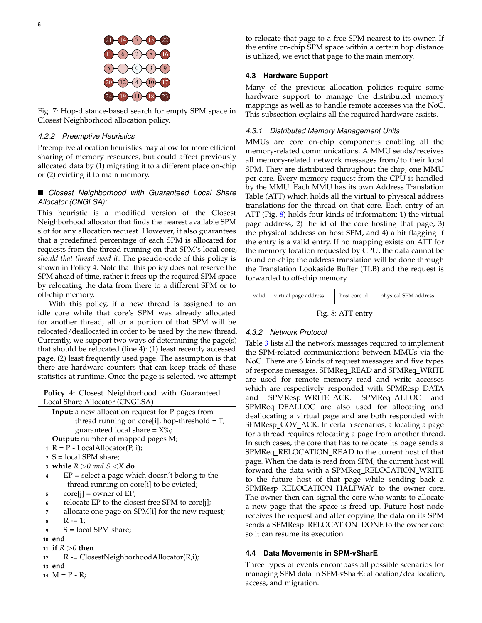

Fig. 7: Hop-distance-based search for empty SPM space in Closest Neighborhood allocation policy.

## *4.2.2 Preemptive Heuristics*

Preemptive allocation heuristics may allow for more efficient sharing of memory resources, but could affect previously allocated data by (1) migrating it to a different place on-chip or (2) evicting it to main memory.

# *Closest Neighborhood with Guaranteed Local Share Allocator (CNGLSA):*

This heuristic is a modified version of the Closest Neighborhood allocator that finds the nearest available SPM slot for any allocation request. However, it also guarantees that a predefined percentage of each SPM is allocated for requests from the thread running on that SPM's local core, *should that thread need it*. The pseudo-code of this policy is shown in Policy 4. Note that this policy does not reserve the SPM ahead of time, rather it frees up the required SPM space by relocating the data from there to a different SPM or to off-chip memory.

With this policy, if a new thread is assigned to an idle core while that core's SPM was already allocated for another thread, all or a portion of that SPM will be relocated/deallocated in order to be used by the new thread. Currently, we support two ways of determining the page(s) that should be relocated (line 4): (1) least recently accessed page, (2) least frequently used page. The assumption is that there are hardware counters that can keep track of these statistics at runtime. Once the page is selected, we attempt

| Policy 4: Closest Neighborhood with Guaranteed          |  |  |  |
|---------------------------------------------------------|--|--|--|
| Local Share Allocator (CNGLSA)                          |  |  |  |
| <b>Input:</b> a new allocation request for P pages from |  |  |  |
| thread running on core[i], hop-threshold = $T$ ,        |  |  |  |
| guaranteed local share = $X\%$ ;                        |  |  |  |
| Output: number of mapped pages M;                       |  |  |  |
| $R = P$ - LocalAllocator(P, i);                         |  |  |  |
| $2 S = local SPM share;$                                |  |  |  |
| 3 while $R > 0$ and $S < X$ do                          |  |  |  |
| $EP = select a page which doesn't belong to the$<br>4   |  |  |  |
| thread running on core[i] to be evicted;                |  |  |  |
| $core[i] = owner of EP;$<br>5                           |  |  |  |
| relocate EP to the closest free SPM to core[j];<br>6    |  |  |  |
| allocate one page on SPM[i] for the new request;<br>7   |  |  |  |
| $R = 1$ ;<br>8                                          |  |  |  |
| $S = local SPM share;$<br>9                             |  |  |  |
| 10 end                                                  |  |  |  |
| 11 if $R > 0$ then                                      |  |  |  |
| $R = C$ losestNeighborhoodAllocator(R,i);<br>12         |  |  |  |
| $13$ end                                                |  |  |  |
| 14 $M = P - R$ ;                                        |  |  |  |

to relocate that page to a free SPM nearest to its owner. If the entire on-chip SPM space within a certain hop distance is utilized, we evict that page to the main memory.

## **4.3 Hardware Support**

Many of the previous allocation policies require some hardware support to manage the distributed memory mappings as well as to handle remote accesses via the NoC. This subsection explains all the required hardware assists.

#### *4.3.1 Distributed Memory Management Units*

MMUs are core on-chip components enabling all the memory-related communications. A MMU sends/receives all memory-related network messages from/to their local SPM. They are distributed throughout the chip, one MMU per core. Every memory request from the CPU is handled by the MMU. Each MMU has its own Address Translation Table (ATT) which holds all the virtual to physical address translations for the thread on that core. Each entry of an ATT (Fig. 8) holds four kinds of information: 1) the virtual page address, 2) the id of the core hosting that page, 3) the physical address on host SPM, and 4) a bit flagging if the entry is a valid entry. If no mapping exists on ATT for the memory location requested by CPU, the data cannot be found on-chip; the address translation will be done through the Translation Lookaside Buffer (TLB) and the request is forwarded to off-chip memory.

| valid | virtual page address | host core id | physical SPM address |
|-------|----------------------|--------------|----------------------|
|       |                      |              |                      |

Fig. 8: ATT entry

## *4.3.2 Network Protocol*

Table 3 lists all the network messages required to implement the SPM-related communications between MMUs via the NoC. There are 6 kinds of request messages and five types of response messages. SPMReq\_READ and SPMReq\_WRITE are used for remote memory read and write accesses which are respectively responded with SPMResp\_DATA and SPMResp\_WRITE\_ACK. SPMReq\_ALLOC and SPMReq DEALLOC are also used for allocating and deallocating a virtual page and are both responded with SPMResp\_GOV\_ACK. In certain scenarios, allocating a page for a thread requires relocating a page from another thread. In such cases, the core that has to relocate its page sends a SPMReq RELOCATION READ to the current host of that page. When the data is read from SPM, the current host will forward the data with a SPMReq\_RELOCATION\_WRITE to the future host of that page while sending back a SPMResp\_RELOCATION\_HALFWAY to the owner core. The owner then can signal the core who wants to allocate a new page that the space is freed up. Future host node receives the request and after copying the data on its SPM sends a SPMResp\_RELOCATION\_DONE to the owner core so it can resume its execution.

# **4.4 Data Movements in SPM-vSharE**

Three types of events encompass all possible scenarios for managing SPM data in SPM-vSharE: allocation/deallocation, access, and migration.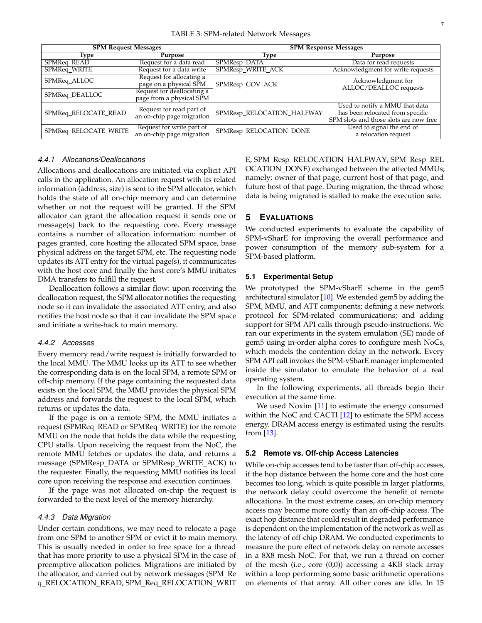| <b>SPM Request Messages</b> |                                                                                  | <b>SPM Response Messages</b> |                                                                                                              |  |
|-----------------------------|----------------------------------------------------------------------------------|------------------------------|--------------------------------------------------------------------------------------------------------------|--|
| Type                        | Purpose                                                                          | Type                         | Purpose                                                                                                      |  |
| SPMReq_READ                 | Request for a data read                                                          | SPMResp_DATA                 | Data for read requests                                                                                       |  |
| SPMReq_WRITE                | Request for a data write                                                         | SPMResp_WRITE_ACK            | Acknowledgment for write requests                                                                            |  |
| SPMReq_ALLOC                | Request for allocating a<br>page on a physical SPM<br>Request for deallocating a | SPMResp_GOV_ACK              | Acknowledgment for<br>ALLOC/DEALLOC requests                                                                 |  |
| SPMReq_DEALLOC              | page from a physical SPM                                                         |                              |                                                                                                              |  |
| SPMReq_RELOCATE_READ        | Request for read part of<br>an on-chip page migration                            | SPMResp_RELOCATION_HALFWAY   | Used to notify a MMU that data<br>has been relocated from specific<br>SPM slots and those slots are now free |  |
| SPMReq_RELOCATE_WRITE       | Request for write part of<br>an on-chip page migration                           | SPMResp_RELOCATION_DONE      | Used to signal the end of<br>a relocation request                                                            |  |

#### *4.4.1 Allocations/Deallocations*

Allocations and deallocations are initiated via explicit API calls in the application. An allocation request with its related information (address, size) is sent to the SPM allocator, which holds the state of all on-chip memory and can determine whether or not the request will be granted. If the SPM allocator can grant the allocation request it sends one or message(s) back to the requesting core. Every message contains a number of allocation information: number of pages granted, core hosting the allocated SPM space, base physical address on the target SPM, etc. The requesting node updates its ATT entry for the virtual page(s), it communicates with the host core and finally the host core's MMU initiates DMA transfers to fulfill the request.

Deallocation follows a similar flow: upon receiving the deallocation request, the SPM allocator notifies the requesting node so it can invalidate the associated ATT entry, and also notifies the host node so that it can invalidate the SPM space and initiate a write-back to main memory.

## *4.4.2 Accesses*

Every memory read/write request is initially forwarded to the local MMU. The MMU looks up its ATT to see whether the corresponding data is on the local SPM, a remote SPM or off-chip memory. If the page containing the requested data exists on the local SPM, the MMU provides the physical SPM address and forwards the request to the local SPM, which returns or updates the data.

If the page is on a remote SPM, the MMU initiates a request (SPMReq\_READ or SPMReq\_WRITE) for the remote MMU on the node that holds the data while the requesting CPU stalls. Upon receiving the request from the NoC, the remote MMU fetches or updates the data, and returns a message (SPMResp\_DATA or SPMResp\_WRITE\_ACK) to the requester. Finally, the requesting MMU notifies its local core upon receiving the response and execution continues.

If the page was not allocated on-chip the request is forwarded to the next level of the memory hierarchy.

#### *4.4.3 Data Migration*

Under certain conditions, we may need to relocate a page from one SPM to another SPM or evict it to main memory. This is usually needed in order to free space for a thread that has more priority to use a physical SPM in the case of preemptive allocation policies. Migrations are initiated by the allocator, and carried out by network messages (SPM Re q\_RELOCATION\_READ, SPM\_Req\_RELOCATION\_WRIT

E, SPM\_Resp\_RELOCATION\_HALFWAY, SPM\_Resp\_REL OCATION\_DONE) exchanged between the affected MMUs; namely: owner of that page, current host of that page, and future host of that page. During migration, the thread whose data is being migrated is stalled to make the execution safe.

#### **5 EVALUATIONS**

We conducted experiments to evaluate the capability of SPM-vSharE for improving the overall performance and power consumption of the memory sub-system for a SPM-based platform.

#### **5.1 Experimental Setup**

We prototyped the SPM-vSharE scheme in the gem5 architectural simulator [10]. We extended gem5 by adding the SPM, MMU, and ATT components; defining a new network protocol for SPM-related communications; and adding support for SPM API calls through pseudo-instructions. We ran our experiments in the system emulation (SE) mode of gem5 using in-order alpha cores to configure mesh NoCs, which models the contention delay in the network. Every SPM API call invokes the SPM-vSharE manager implemented inside the simulator to emulate the behavior of a real operating system.

In the following experiments, all threads begin their execution at the same time.

We used Noxim [11] to estimate the energy consumed within the NoC and CACTI [12] to estimate the SPM access energy. DRAM access energy is estimated using the results from [13].

#### **5.2 Remote vs. Off-chip Access Latencies**

While on-chip accesses tend to be faster than off-chip accesses, if the hop distance between the home core and the host core becomes too long, which is quite possible in larger platforms, the network delay could overcome the benefit of remote allocations. In the most extreme cases, an on-chip memory access may become more costly than an off-chip access. The exact hop distance that could result in degraded performance is dependent on the implementation of the network as well as the latency of off-chip DRAM. We conducted experiments to measure the pure effect of network delay on remote accesses in a 8X8 mesh NoC. For that, we run a thread on corner of the mesh (i.e., core (0,0)) accessing a 4KB stack array within a loop performing some basic arithmetic operations on elements of that array. All other cores are idle. In 15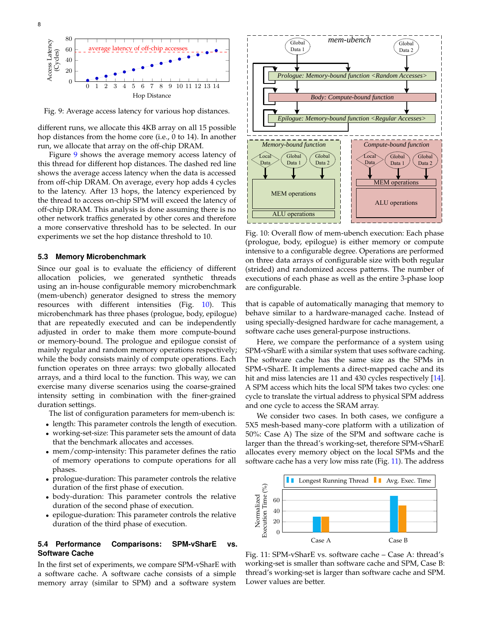

Fig. 9: Average access latency for various hop distances.

different runs, we allocate this 4KB array on all 15 possible hop distances from the home core (i.e., 0 to 14). In another run, we allocate that array on the off-chip DRAM.

Figure 9 shows the average memory access latency of this thread for different hop distances. The dashed red line shows the average access latency when the data is accessed from off-chip DRAM. On average, every hop adds 4 cycles to the latency. After 13 hops, the latency experienced by the thread to access on-chip SPM will exceed the latency of off-chip DRAM. This analysis is done assuming there is no other network traffics generated by other cores and therefore a more conservative threshold has to be selected. In our experiments we set the hop distance threshold to 10.

#### **5.3 Memory Microbenchmark**

Since our goal is to evaluate the efficiency of different allocation policies, we generated synthetic threads using an in-house configurable memory microbenchmark (mem-ubench) generator designed to stress the memory resources with different intensities (Fig. 10). This microbenchmark has three phases (prologue, body, epilogue) that are repeatedly executed and can be independently adjusted in order to make them more compute-bound or memory-bound. The prologue and epilogue consist of mainly regular and random memory operations respectively; while the body consists mainly of compute operations. Each function operates on three arrays: two globally allocated arrays, and a third local to the function. This way, we can exercise many diverse scenarios using the coarse-grained intensity setting in combination with the finer-grained duration settings.

The list of configuration parameters for mem-ubench is:

- length: This parameter controls the length of execution. • working-set-size: This parameter sets the amount of data
- that the benchmark allocates and accesses.
- mem/comp-intensity: This parameter defines the ratio of memory operations to compute operations for all phases.
- prologue-duration: This parameter controls the relative duration of the first phase of execution.
- body-duration: This parameter controls the relative duration of the second phase of execution.
- epilogue-duration: This parameter controls the relative duration of the third phase of execution.

#### **5.4 Performance Comparisons: SPM-vSharE vs. Software Cache**

In the first set of experiments, we compare SPM-vSharE with a software cache. A software cache consists of a simple memory array (similar to SPM) and a software system



Fig. 10: Overall flow of mem-ubench execution: Each phase (prologue, body, epilogue) is either memory or compute intensive to a configurable degree. Operations are performed on three data arrays of configurable size with both regular (strided) and randomized access patterns. The number of executions of each phase as well as the entire 3-phase loop are configurable.

that is capable of automatically managing that memory to behave similar to a hardware-managed cache. Instead of using specially-designed hardware for cache management, a software cache uses general-purpose instructions.

Here, we compare the performance of a system using SPM-vSharE with a similar system that uses software caching. The software cache has the same size as the SPMs in SPM-vSharE. It implements a direct-mapped cache and its hit and miss latencies are 11 and 430 cycles respectively [14]. A SPM access which hits the local SPM takes two cycles: one cycle to translate the virtual address to physical SPM address and one cycle to access the SRAM array.

We consider two cases. In both cases, we configure a 5X5 mesh-based many-core platform with a utilization of 50%: Case A) The size of the SPM and software cache is larger than the thread's working-set, therefore SPM-vSharE allocates every memory object on the local SPMs and the software cache has a very low miss rate (Fig. 11). The address



Fig. 11: SPM-vSharE vs. software cache – Case A: thread's working-set is smaller than software cache and SPM, Case B: thread's working-set is larger than software cache and SPM. Lower values are better.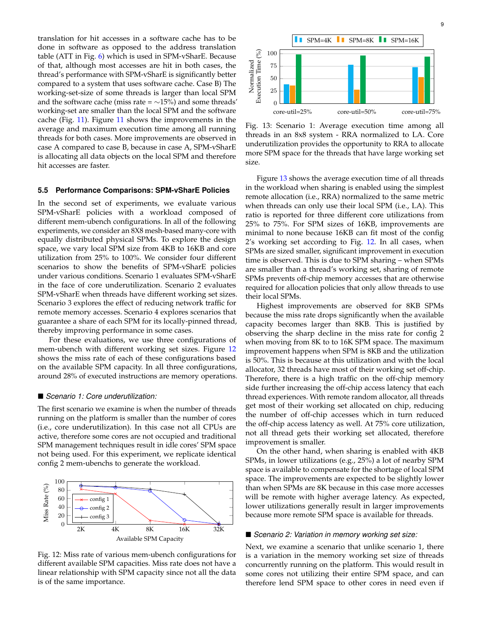translation for hit accesses in a software cache has to be done in software as opposed to the address translation table (ATT in Fig. 6) which is used in SPM-vSharE. Because of that, although most accesses are hit in both cases, the thread's performance with SPM-vSharE is significantly better compared to a system that uses software cache. Case B) The working-set-size of some threads is larger than local SPM and the software cache (miss rate =  $\sim$ 15%) and some threads' working-set are smaller than the local SPM and the software cache (Fig. 11). Figure 11 shows the improvements in the average and maximum execution time among all running threads for both cases. More improvements are observed in case A compared to case B, because in case A, SPM-vSharE is allocating all data objects on the local SPM and therefore hit accesses are faster.

#### **5.5 Performance Comparisons: SPM-vSharE Policies**

In the second set of experiments, we evaluate various SPM-vSharE policies with a workload composed of different mem-ubench configurations. In all of the following experiments, we consider an 8X8 mesh-based many-core with equally distributed physical SPMs. To explore the design space, we vary local SPM size from 4KB to 16KB and core utilization from 25% to 100%. We consider four different scenarios to show the benefits of SPM-vSharE policies under various conditions. Scenario 1 evaluates SPM-vSharE in the face of core underutilization. Scenario 2 evaluates SPM-vSharE when threads have different working set sizes. Scenario 3 explores the effect of reducing network traffic for remote memory accesses. Scenario 4 explores scenarios that guarantee a share of each SPM for its locally-pinned thread, thereby improving performance in some cases.

For these evaluations, we use three configurations of mem-ubench with different working set sizes. Figure 12 shows the miss rate of each of these configurations based on the available SPM capacity. In all three configurations, around 28% of executed instructions are memory operations.

#### *Scenario 1: Core underutilization:*

The first scenario we examine is when the number of threads running on the platform is smaller than the number of cores (i.e., core underutilization). In this case not all CPUs are active, therefore some cores are not occupied and traditional SPM management techniques result in idle cores' SPM space not being used. For this experiment, we replicate identical config 2 mem-ubenchs to generate the workload.



Fig. 12: Miss rate of various mem-ubench configurations for different available SPM capacities. Miss rate does not have a linear relationship with SPM capacity since not all the data is of the same importance.

9



Fig. 13: Scenario 1: Average execution time among all threads in an 8x8 system - RRA normalized to LA. Core underutilization provides the opportunity to RRA to allocate more SPM space for the threads that have large working set size.

Figure 13 shows the average execution time of all threads in the workload when sharing is enabled using the simplest remote allocation (i.e., RRA) normalized to the same metric when threads can only use their local SPM (i.e., LA). This ratio is reported for three different core utilizations from 25% to 75%. For SPM sizes of 16KB, improvements are minimal to none because 16KB can fit most of the config 2's working set according to Fig. 12. In all cases, when SPMs are sized smaller, significant improvement in execution time is observed. This is due to SPM sharing – when SPMs are smaller than a thread's working set, sharing of remote SPMs prevents off-chip memory accesses that are otherwise required for allocation policies that only allow threads to use their local SPMs.

Highest improvements are observed for 8KB SPMs because the miss rate drops significantly when the available capacity becomes larger than 8KB. This is justified by observing the sharp decline in the miss rate for config 2 when moving from 8K to to 16K SPM space. The maximum improvement happens when SPM is 8KB and the utilization is 50%. This is because at this utilization and with the local allocator, 32 threads have most of their working set off-chip. Therefore, there is a high traffic on the off-chip memory side further increasing the off-chip access latency that each thread experiences. With remote random allocator, all threads get most of their working set allocated on chip, reducing the number of off-chip accesses which in turn reduced the off-chip access latency as well. At 75% core utilization, not all thread gets their working set allocated, therefore improvement is smaller.

On the other hand, when sharing is enabled with 4KB SPMs, in lower utilizations (e.g., 25%) a lot of nearby SPM space is available to compensate for the shortage of local SPM space. The improvements are expected to be slightly lower than when SPMs are 8K because in this case more accesses will be remote with higher average latency. As expected, lower utilizations generally result in larger improvements because more remote SPM space is available for threads.

#### *Scenario 2: Variation in memory working set size:*

Next, we examine a scenario that unlike scenario 1, there is a variation in the memory working set size of threads concurrently running on the platform. This would result in some cores not utilizing their entire SPM space, and can therefore lend SPM space to other cores in need even if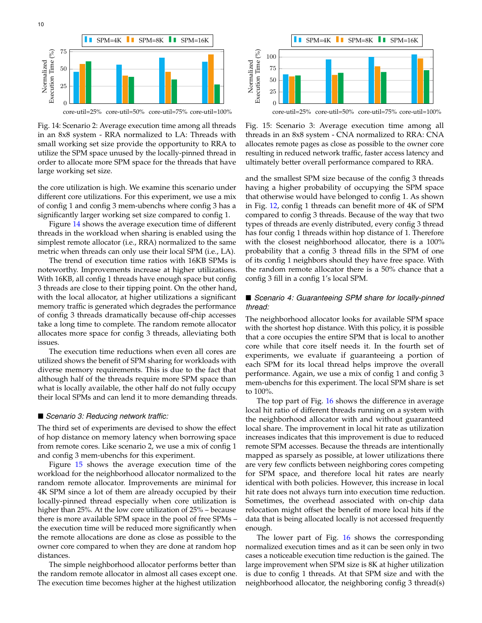

Fig. 14: Scenario 2: Average execution time among all threads in an 8x8 system - RRA normalized to LA: Threads with small working set size provide the opportunity to RRA to utilize the SPM space unused by the locally-pinned thread in order to allocate more SPM space for the threads that have large working set size.

the core utilization is high. We examine this scenario under different core utilizations. For this experiment, we use a mix of config 1 and config 3 mem-ubenchs where config 3 has a significantly larger working set size compared to config 1.

Figure 14 shows the average execution time of different threads in the workload when sharing is enabled using the simplest remote allocator (i.e., RRA) normalized to the same metric when threads can only use their local SPM (i.e., LA).

The trend of execution time ratios with 16KB SPMs is noteworthy. Improvements increase at higher utilizations. With 16KB, all config 1 threads have enough space but config 3 threads are close to their tipping point. On the other hand, with the local allocator, at higher utilizations a significant memory traffic is generated which degrades the performance of config 3 threads dramatically because off-chip accesses take a long time to complete. The random remote allocator allocates more space for config 3 threads, alleviating both issues.

The execution time reductions when even all cores are utilized shows the benefit of SPM sharing for workloads with diverse memory requirements. This is due to the fact that although half of the threads require more SPM space than what is locally available, the other half do not fully occupy their local SPMs and can lend it to more demanding threads.

#### *Scenario 3: Reducing network traffic:*

The third set of experiments are devised to show the effect of hop distance on memory latency when borrowing space from remote cores. Like scenario 2, we use a mix of config 1 and config 3 mem-ubenchs for this experiment.

Figure 15 shows the average execution time of the workload for the neighborhood allocator normalized to the random remote allocator. Improvements are minimal for 4K SPM since a lot of them are already occupied by their locally-pinned thread especially when core utilization is higher than 25%. At the low core utilization of 25% – because there is more available SPM space in the pool of free SPMs – the execution time will be reduced more significantly when the remote allocations are done as close as possible to the owner core compared to when they are done at random hop distances.

The simple neighborhood allocator performs better than the random remote allocator in almost all cases except one. The execution time becomes higher at the highest utilization



core-util=25% core-util=50% core-util=75% core-util=100%

Fig. 15: Scenario 3: Average execution time among all threads in an 8x8 system - CNA normalized to RRA: CNA allocates remote pages as close as possible to the owner core resulting in reduced network traffic, faster access latency and ultimately better overall performance compared to RRA.

and the smallest SPM size because of the config 3 threads having a higher probability of occupying the SPM space that otherwise would have belonged to config 1. As shown in Fig. 12, config 1 threads can benefit more of 4K of SPM compared to config 3 threads. Because of the way that two types of threads are evenly distributed, every config 3 thread has four config 1 threads within hop distance of 1. Therefore with the closest neighborhood allocator, there is a 100% probability that a config 3 thread fills in the SPM of one of its config 1 neighbors should they have free space. With the random remote allocator there is a 50% chance that a config 3 fill in a config 1's local SPM.

## ■ *Scenario 4: Guaranteeing SPM share for locally-pinned thread:*

The neighborhood allocator looks for available SPM space with the shortest hop distance. With this policy, it is possible that a core occupies the entire SPM that is local to another core while that core itself needs it. In the fourth set of experiments, we evaluate if guaranteeing a portion of each SPM for its local thread helps improve the overall performance. Again, we use a mix of config 1 and config 3 mem-ubenchs for this experiment. The local SPM share is set to 100%.

The top part of Fig. 16 shows the difference in average local hit ratio of different threads running on a system with the neighborhood allocator with and without guaranteed local share. The improvement in local hit rate as utilization increases indicates that this improvement is due to reduced remote SPM accesses. Because the threads are intentionally mapped as sparsely as possible, at lower utilizations there are very few conflicts between neighboring cores competing for SPM space, and therefore local hit rates are nearly identical with both policies. However, this increase in local hit rate does not always turn into execution time reduction. Sometimes, the overhead associated with on-chip data relocation might offset the benefit of more local hits if the data that is being allocated locally is not accessed frequently enough.

The lower part of Fig. 16 shows the corresponding normalized execution times and as it can be seen only in two cases a noticeable execution time reduction is the gained. The large improvement when SPM size is 8K at higher utilization is due to config 1 threads. At that SPM size and with the neighborhood allocator, the neighboring config 3 thread(s)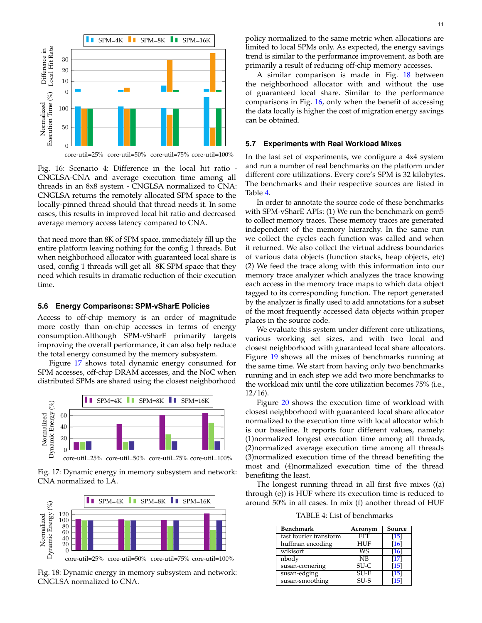

core-util=25% core-util=50% core-util=75% core-util=100%

Fig. 16: Scenario 4: Difference in the local hit ratio - CNGLSA-CNA and average execution time among all threads in an 8x8 system - CNGLSA normalized to CNA: CNGLSA returns the remotely allocated SPM space to the locally-pinned thread should that thread needs it. In some cases, this results in improved local hit ratio and decreased average memory access latency compared to CNA.

that need more than 8K of SPM space, immediately fill up the entire platform leaving nothing for the config 1 threads. But when neighborhood allocator with guaranteed local share is used, config 1 threads will get all 8K SPM space that they need which results in dramatic reduction of their execution time.

#### **5.6 Energy Comparisons: SPM-vSharE Policies**

Access to off-chip memory is an order of magnitude more costly than on-chip accesses in terms of energy consumption.Although SPM-vSharE primarily targets improving the overall performance, it can also help reduce the total energy consumed by the memory subsystem.

Figure 17 shows total dynamic energy consumed for SPM accesses, off-chip DRAM accesses, and the NoC when distributed SPMs are shared using the closest neighborhood







Fig. 18: Dynamic energy in memory subsystem and network: CNGLSA normalized to CNA.

policy normalized to the same metric when allocations are limited to local SPMs only. As expected, the energy savings trend is similar to the performance improvement, as both are primarily a result of reducing off-chip memory accesses.

A similar comparison is made in Fig. 18 between the neighborhood allocator with and without the use of guaranteed local share. Similar to the performance comparisons in Fig. 16, only when the benefit of accessing the data locally is higher the cost of migration energy savings can be obtained.

#### **5.7 Experiments with Real Workload Mixes**

In the last set of experiments, we configure a 4x4 system and run a number of real benchmarks on the platform under different core utilizations. Every core's SPM is 32 kilobytes. The benchmarks and their respective sources are listed in Table 4.

In order to annotate the source code of these benchmarks with SPM-vSharE APIs: (1) We run the benchmark on gem5 to collect memory traces. These memory traces are generated independent of the memory hierarchy. In the same run we collect the cycles each function was called and when it returned. We also collect the virtual address boundaries of various data objects (function stacks, heap objects, etc) (2) We feed the trace along with this information into our memory trace analyzer which analyzes the trace knowing each access in the memory trace maps to which data object tagged to its corresponding function. The report generated by the analyzer is finally used to add annotations for a subset of the most frequently accessed data objects within proper places in the source code.

We evaluate this system under different core utilizations, various working set sizes, and with two local and closest neighborhood with guaranteed local share allocators. Figure 19 shows all the mixes of benchmarks running at the same time. We start from having only two benchmarks running and in each step we add two more benchmarks to the workload mix until the core utilization becomes 75% (i.e., 12/16).

Figure 20 shows the execution time of workload with closest neighborhood with guaranteed local share allocator normalized to the execution time with local allocator which is our baseline. It reports four different values, namely: (1)normalized longest execution time among all threads, (2)normalized average execution time among all threads (3)normalized execution time of the thread benefiting the most and (4)normalized execution time of the thread benefiting the least.

The longest running thread in all first five mixes ((a) through (e)) is HUF where its execution time is reduced to around 50% in all cases. In mix (f) another thread of HUF

TABLE 4: List of benchmarks

| Benchmark              | Acronym    | Source |
|------------------------|------------|--------|
| fast fourier transform | <b>FFT</b> | [15]   |
| huffman encoding       | <b>HUF</b> | [16]   |
| wikisort               | <b>WS</b>  | [16]   |
| nbody                  | NB         | [17]   |
| susan-cornering        | $SU-C$     | [15]   |
| susan-edging           | $SU-E$     | [15]   |
| susan-smoothing        | $SU-S$     | 15.    |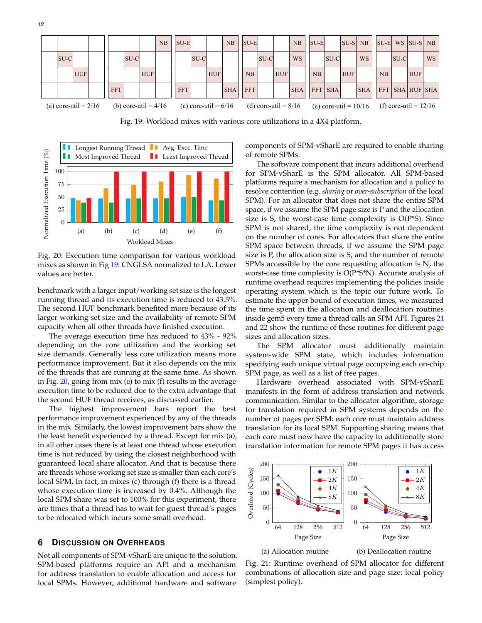

Fig. 19: Workload mixes with various core utilizations in a 4X4 platform.



Fig. 20: Execution time comparison for various workload mixes as shown in Fig 19: CNGLSA normalized to LA. Lower values are better.

benchmark with a larger input/working set size is the longest running thread and its execution time is reduced to 43.5%. The second HUF benchmark benefited more because of its larger working set size and the availability of remote SPM capacity when all other threads have finished execution.

The average execution time has reduced to 43% - 92% depending on the core utilization and the working set size demands. Generally less core utilization means more performance improvement. But it also depends on the mix of the threads that are running at the same time. As shown in Fig. 20, going from mix (e) to mix (f) results in the average execution time to be reduced due to the extra advantage that the second HUF thread receives, as discussed earlier.

The highest improvement bars report the best performance improvement experienced by any of the threads in the mix. Similarly, the lowest improvement bars show the the least benefit experienced by a thread. Except for mix (a), in all other cases there is at least one thread whose execution time is not reduced by using the closest neighborhood with guaranteed local share allocator. And that is because there are threads whose working set size is smaller than each core's local SPM. In fact, in mixes (c) through (f) there is a thread whose execution time is increased by 0.4%. Although the local SPM share was set to 100% for this experiment, there are times that a thread has to wait for guest thread's pages to be relocated which incurs some small overhead.

# **6 DISCUSSION ON OVERHEADS**

Not all components of SPM-vSharE are unique to the solution. SPM-based platforms require an API and a mechanism for address translation to enable allocation and access for local SPMs. However, additional hardware and software

components of SPM-vSharE are required to enable sharing of remote SPMs.

The software component that incurs additional overhead for SPM-vSharE is the SPM allocator. All SPM-based platforms require a mechanism for allocation and a policy to resolve contention (e.g. *sharing* or *over-subscription* of the local SPM). For an allocator that does not share the entire SPM space, if we assume the SPM page size is P and the allocation size is S, the worst-case time complexity is  $O(P*S)$ . Since SPM is not shared, the time complexity is not dependent on the number of cores. For allocators that share the entire SPM space between threads, if we assume the SPM page size is P, the allocation size is S, and the number of remote SPMs accessible by the core requesting allocation is N, the worst-case time complexity is O(P\*S\*N). Accurate analysis of runtime overhead requires implementing the policies inside operating system which is the topic our future work. To estimate the upper bound of execution times, we measured the time spent in the allocation and deallocation routines inside gem5 every time a thread calls an SPM API. Figures 21 and 22 show the runtime of these routines for different page sizes and allocation sizes.

The SPM allocator must additionally maintain system-wide SPM state, which includes information specifying each unique virtual page occupying each on-chip SPM page, as well as a list of free pages.

Hardware overhead associated with SPM-vSharE manifests in the form of address translation and network communication. Similar to the allocator algorithm, storage for translation required in SPM systems depends on the number of pages per SPM: each core must maintain address translation for its local SPM. Supporting sharing means that each core must now have the capacity to additionally store translation information for remote SPM pages it has access



Fig. 21: Runtime overhead of SPM allocator for different combinations of allocation size and page size: local policy (simplest policy).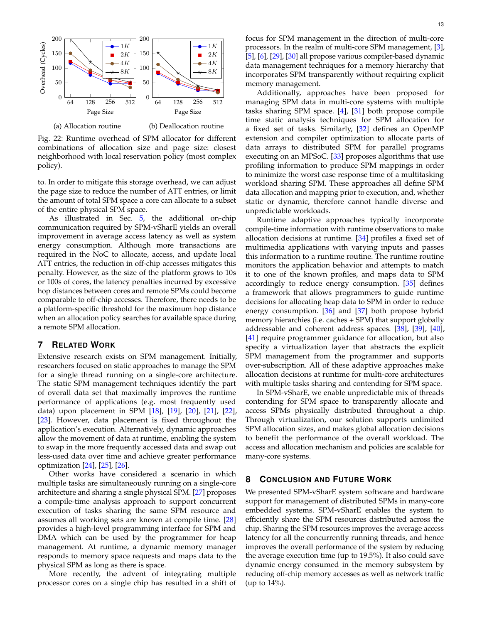

Fig. 22: Runtime overhead of SPM allocator for different combinations of allocation size and page size: closest neighborhood with local reservation policy (most complex policy).

to. In order to mitigate this storage overhead, we can adjust the page size to reduce the number of ATT entries, or limit the amount of total SPM space a core can allocate to a subset of the entire physical SPM space.

As illustrated in Sec. 5, the additional on-chip communication required by SPM-vSharE yields an overall improvement in average access latency as well as system energy consumption. Although more transactions are required in the NoC to allocate, access, and update local ATT entries, the reduction in off-chip accesses mitigates this penalty. However, as the size of the platform grows to 10s or 100s of cores, the latency penalties incurred by excessive hop distances between cores and remote SPMs could become comparable to off-chip accesses. Therefore, there needs to be a platform-specific threshold for the maximum hop distance when an allocation policy searches for available space during a remote SPM allocation.

## **7 RELATED WORK**

Extensive research exists on SPM management. Initially, researchers focused on static approaches to manage the SPM for a single thread running on a single-core architecture. The static SPM management techniques identify the part of overall data set that maximally improves the runtime performance of applications (e.g. most frequently used data) upon placement in SPM [18], [19], [20], [21], [22], [23]. However, data placement is fixed throughout the application's execution. Alternatively, dynamic approaches allow the movement of data at runtime, enabling the system to swap in the more frequently accessed data and swap out less-used data over time and achieve greater performance optimization [24], [25], [26].

Other works have considered a scenario in which multiple tasks are simultaneously running on a single-core architecture and sharing a single physical SPM. [27] proposes a compile-time analysis approach to support concurrent execution of tasks sharing the same SPM resource and assumes all working sets are known at compile time. [28] provides a high-level programming interface for SPM and DMA which can be used by the programmer for heap management. At runtime, a dynamic memory manager responds to memory space requests and maps data to the physical SPM as long as there is space.

More recently, the advent of integrating multiple processor cores on a single chip has resulted in a shift of

focus for SPM management in the direction of multi-core processors. In the realm of multi-core SPM management, [3], [5], [6], [29], [30] all propose various compiler-based dynamic data management techniques for a memory hierarchy that incorporates SPM transparently without requiring explicit memory management.

Additionally, approaches have been proposed for managing SPM data in multi-core systems with multiple tasks sharing SPM space.  $[4]$ ,  $[31]$  both propose compile time static analysis techniques for SPM allocation for a fixed set of tasks. Similarly, [32] defines an OpenMP extension and compiler optimization to allocate parts of data arrays to distributed SPM for parallel programs executing on an MPSoC. [33] proposes algorithms that use profiling information to produce SPM mappings in order to minimize the worst case response time of a multitasking workload sharing SPM. These approaches all define SPM data allocation and mapping prior to execution, and, whether static or dynamic, therefore cannot handle diverse and unpredictable workloads.

Runtime adaptive approaches typically incorporate compile-time information with runtime observations to make allocation decisions at runtime. [34] profiles a fixed set of multimedia applications with varying inputs and passes this information to a runtime routine. The runtime routine monitors the application behavior and attempts to match it to one of the known profiles, and maps data to SPM accordingly to reduce energy consumption. [35] defines a framework that allows programmers to guide runtime decisions for allocating heap data to SPM in order to reduce energy consumption. [36] and [37] both propose hybrid memory hierarchies (i.e. caches + SPM) that support globally addressable and coherent address spaces. [38], [39], [40], [41] require programmer guidance for allocation, but also specify a virtualization layer that abstracts the explicit SPM management from the programmer and supports over-subscription. All of these adaptive approaches make allocation decisions at runtime for multi-core architectures with multiple tasks sharing and contending for SPM space.

In SPM-vSharE, we enable unpredictable mix of threads contending for SPM space to transparently allocate and access SPMs physically distributed throughout a chip. Through virtualization, our solution supports unlimited SPM allocation sizes, and makes global allocation decisions to benefit the performance of the overall workload. The access and allocation mechanism and policies are scalable for many-core systems.

# **8 CONCLUSION AND FUTURE WORK**

We presented SPM-vSharE system software and hardware support for management of distributed SPMs in many-core embedded systems. SPM-vSharE enables the system to efficiently share the SPM resources distributed across the chip. Sharing the SPM resources improves the average access latency for all the concurrently running threads, and hence improves the overall performance of the system by reducing the average execution time (up to 19.5%). It also could save dynamic energy consumed in the memory subsystem by reducing off-chip memory accesses as well as network traffic (up to 14%).